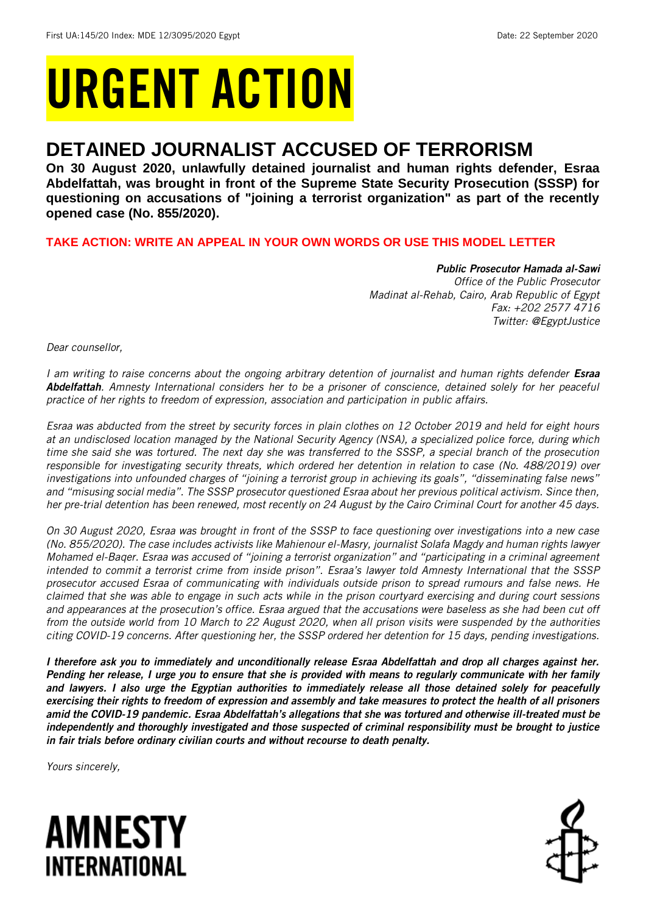# URGENT ACTION

## **DETAINED JOURNALIST ACCUSED OF TERRORISM**

**On 30 August 2020, unlawfully detained journalist and human rights defender, Esraa Abdelfattah, was brought in front of the Supreme State Security Prosecution (SSSP) for questioning on accusations of "joining a terrorist organization" as part of the recently opened case (No. 855/2020).**

**TAKE ACTION: WRITE AN APPEAL IN YOUR OWN WORDS OR USE THIS MODEL LETTER**

*Public Prosecutor Hamada al-Sawi Office of the Public Prosecutor Madinat al-Rehab, Cairo, Arab Republic of Egypt Fax: +202 2577 4716 Twitter: @EgyptJustice*

*Dear counsellor,*

*I am writing to raise concerns about the ongoing arbitrary detention of journalist and human rights defender Esraa Abdelfattah. Amnesty International considers her to be a prisoner of conscience, detained solely for her peaceful practice of her rights to freedom of expression, association and participation in public affairs.*

*Esraa was abducted from the street by security forces in plain clothes on 12 October 2019 and held for eight hours at an undisclosed location managed by the National Security Agency (NSA), a specialized police force, during which time she said she was tortured. The next day she was transferred to the SSSP, a special branch of the prosecution responsible for investigating security threats, which ordered her detention in relation to case (No. 488/2019) over investigations into unfounded charges of "joining a terrorist group in achieving its goals", "disseminating false news" and "misusing social media". The SSSP prosecutor questioned Esraa about her previous political activism. Since then, her pre-trial detention has been renewed, most recently on 24 August by the Cairo Criminal Court for another 45 days.*

*On 30 August 2020, Esraa was brought in front of the SSSP to face questioning over investigations into a new case (No. 855/2020). The case includes activists like Mahienour el-Masry, journalist Solafa Magdy and human rights lawyer Mohamed el-Baqer. Esraa was accused of "joining a terrorist organization" and "participating in a criminal agreement intended to commit a terrorist crime from inside prison". Esraa's lawyer told Amnesty International that the SSSP prosecutor accused Esraa of communicating with individuals outside prison to spread rumours and false news. He claimed that she was able to engage in such acts while in the prison courtyard exercising and during court sessions and appearances at the prosecution's office. Esraa argued that the accusations were baseless as she had been cut off from the outside world from 10 March to 22 August 2020, when all prison visits were suspended by the authorities citing COVID-19 concerns. After questioning her, the SSSP ordered her detention for 15 days, pending investigations.*

*I therefore ask you to immediately and unconditionally release Esraa Abdelfattah and drop all charges against her. Pending her release, I urge you to ensure that she is provided with means to regularly communicate with her family and lawyers. I also urge the Egyptian authorities to immediately release all those detained solely for peacefully exercising their rights to freedom of expression and assembly and take measures to protect the health of all prisoners amid the COVID-19 pandemic. Esraa Abdelfattah's allegations that she was tortured and otherwise ill-treated must be independently and thoroughly investigated and those suspected of criminal responsibility must be brought to justice in fair trials before ordinary civilian courts and without recourse to death penalty.* 

*Yours sincerely,*